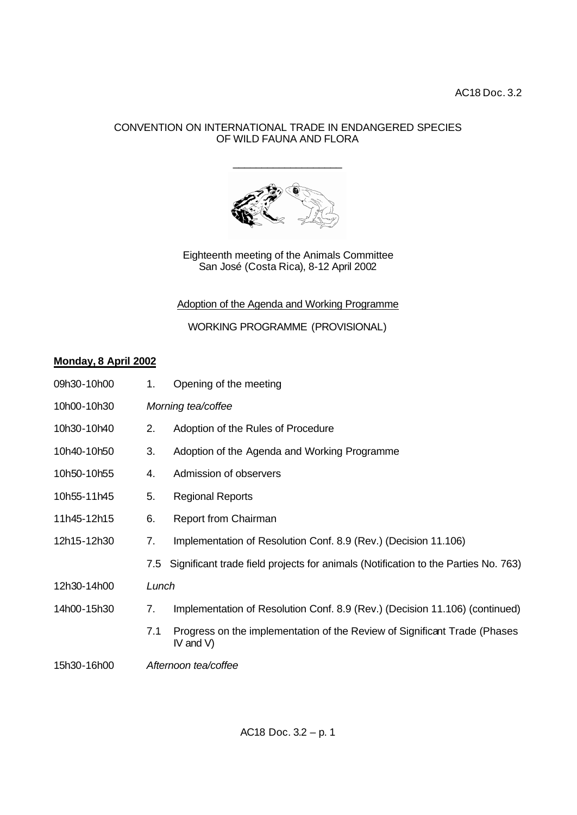## CONVENTION ON INTERNATIONAL TRADE IN ENDANGERED SPECIES OF WILD FAUNA AND FLORA

\_\_\_\_\_\_\_\_\_\_\_\_\_\_\_\_\_\_\_



Eighteenth meeting of the Animals Committee San José (Costa Rica), 8-12 April 2002

Adoption of the Agenda and Working Programme

WORKING PROGRAMME (PROVISIONAL)

## **Monday, 8 April 2002**

| 09h30-10h00 | 1.                 | Opening of the meeting                                                                    |  |
|-------------|--------------------|-------------------------------------------------------------------------------------------|--|
| 10h00-10h30 | Morning tea/coffee |                                                                                           |  |
| 10h30-10h40 | 2.                 | Adoption of the Rules of Procedure                                                        |  |
| 10h40-10h50 | 3.                 | Adoption of the Agenda and Working Programme                                              |  |
| 10h50-10h55 | 4.                 | Admission of observers                                                                    |  |
| 10h55-11h45 | 5.                 | <b>Regional Reports</b>                                                                   |  |
| 11h45-12h15 | 6.                 | <b>Report from Chairman</b>                                                               |  |
| 12h15-12h30 | 7.                 | Implementation of Resolution Conf. 8.9 (Rev.) (Decision 11.106)                           |  |
|             |                    | 7.5 Significant trade field projects for animals (Notification to the Parties No. 763)    |  |
| 12h30-14h00 | Lunch              |                                                                                           |  |
| 14h00-15h30 | 7.                 | Implementation of Resolution Conf. 8.9 (Rev.) (Decision 11.106) (continued)               |  |
|             | 7.1                | Progress on the implementation of the Review of Significant Trade (Phases<br>IV and $V$ ) |  |
| 15h30-16h00 |                    | Afternoon tea/coffee                                                                      |  |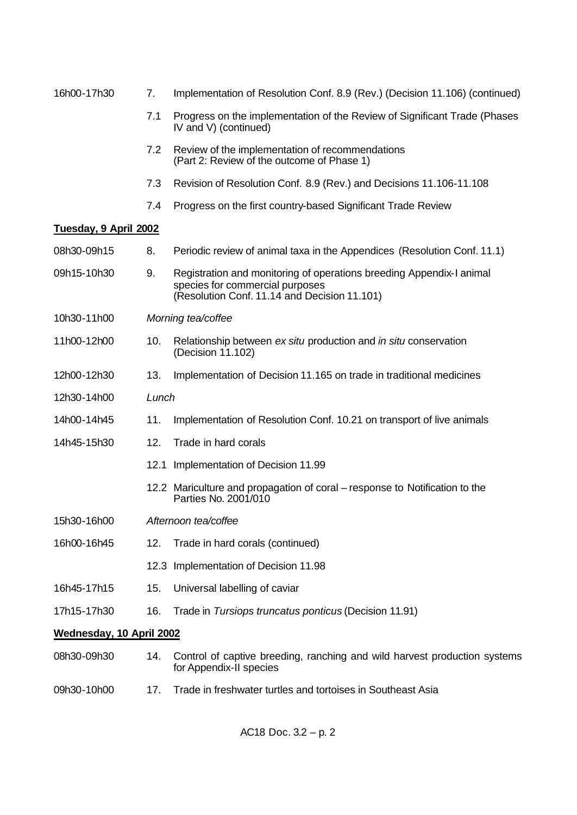| 16h00-17h30              | 7.                   | Implementation of Resolution Conf. 8.9 (Rev.) (Decision 11.106) (continued)                                                                             |  |
|--------------------------|----------------------|---------------------------------------------------------------------------------------------------------------------------------------------------------|--|
|                          | 7.1                  | Progress on the implementation of the Review of Significant Trade (Phases<br>IV and V) (continued)                                                      |  |
|                          | 7.2                  | Review of the implementation of recommendations<br>(Part 2: Review of the outcome of Phase 1)                                                           |  |
|                          | 7.3                  | Revision of Resolution Conf. 8.9 (Rev.) and Decisions 11.106-11.108                                                                                     |  |
|                          | 7.4                  | Progress on the first country-based Significant Trade Review                                                                                            |  |
| Tuesday, 9 April 2002    |                      |                                                                                                                                                         |  |
| 08h30-09h15              | 8.                   | Periodic review of animal taxa in the Appendices (Resolution Conf. 11.1)                                                                                |  |
| 09h15-10h30              | 9.                   | Registration and monitoring of operations breeding Appendix-I animal<br>species for commercial purposes<br>(Resolution Conf. 11.14 and Decision 11.101) |  |
| 10h30-11h00              | Morning tea/coffee   |                                                                                                                                                         |  |
| 11h00-12h00              | 10.                  | Relationship between ex situ production and in situ conservation<br>(Decision 11.102)                                                                   |  |
| 12h00-12h30              | 13.                  | Implementation of Decision 11.165 on trade in traditional medicines                                                                                     |  |
| 12h30-14h00              | Lunch                |                                                                                                                                                         |  |
| 14h00-14h45              | 11.                  | Implementation of Resolution Conf. 10.21 on transport of live animals                                                                                   |  |
| 14h45-15h30              | 12.                  | Trade in hard corals                                                                                                                                    |  |
|                          |                      | 12.1 Implementation of Decision 11.99                                                                                                                   |  |
|                          |                      | 12.2 Mariculture and propagation of coral – response to Notification to the<br>Parties No. 2001/010                                                     |  |
| 15h30-16h00              | Afternoon tea/coffee |                                                                                                                                                         |  |
| 16h00-16h45              | 12.                  | Trade in hard corals (continued)                                                                                                                        |  |
|                          |                      | 12.3 Implementation of Decision 11.98                                                                                                                   |  |
| 16h45-17h15              | 15.                  | Universal labelling of caviar                                                                                                                           |  |
| 17h15-17h30              | 16.                  | Trade in Tursiops truncatus ponticus (Decision 11.91)                                                                                                   |  |
| Wednesday, 10 April 2002 |                      |                                                                                                                                                         |  |
| 08h30-09h30              | 14.                  | Control of captive breeding, ranching and wild harvest production systems<br>for Appendix-II species                                                    |  |
| 09h30-10h00              | 17.                  | Trade in freshwater turtles and tortoises in Southeast Asia                                                                                             |  |